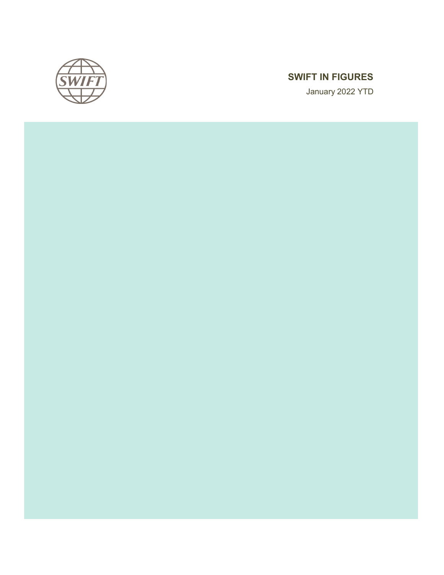

# SWIFT IN FIGURES

January 2022 YTD

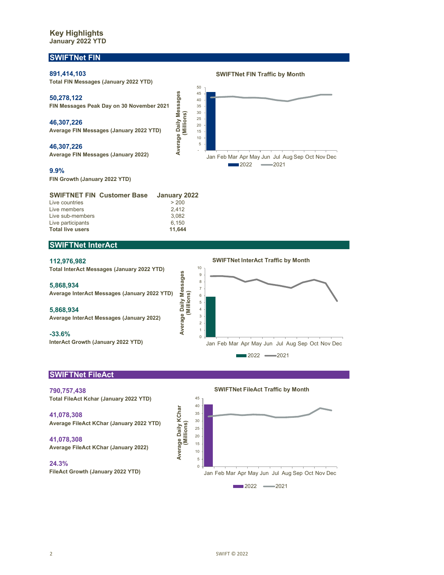# Key Highlights January 2022 YTD

# SWIFTNet FIN



# SWIFTNet InterAct

#### 112,976,982

**Total live users** 

Total InterAct Messages (January 2022 YTD)

5,868,934 Average InterAct Messages (January 2022 YTD)

Live participants 6,150<br> **Total live users** 6,150<br> **11,644** 

5,868,934 Average InterAct Messages (January 2022)

-33.6%

InterAct Growth (January 2022 YTD)

SWIFTNet InterAct Traffic by Month



# SWIFTNet FileAct

790,757,438 Total FileAct Kchar (January 2022 YTD)

41,078,308 Average FileAct KChar (January 2022 YTD)

41,078,308 Average FileAct KChar (January 2022)

24.3% FileAct Growth (January 2022 YTD) SWIFTNet FileAct Traffic by Month

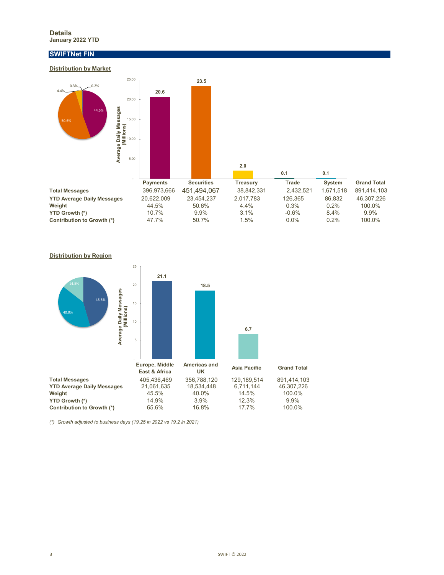#### Details January 2022 YTD

# SWIFTNet FIN

### Distribution by Market





(\*) Growth adjusted to business days (19.25 in 2022 vs 19.2 in 2021)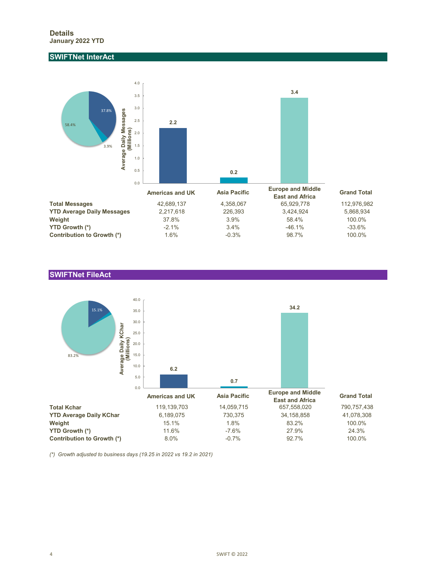# SWIFTNet InterAct



## SWIFTNet FileAct



(\*) Growth adjusted to business days (19.25 in 2022 vs 19.2 in 2021)